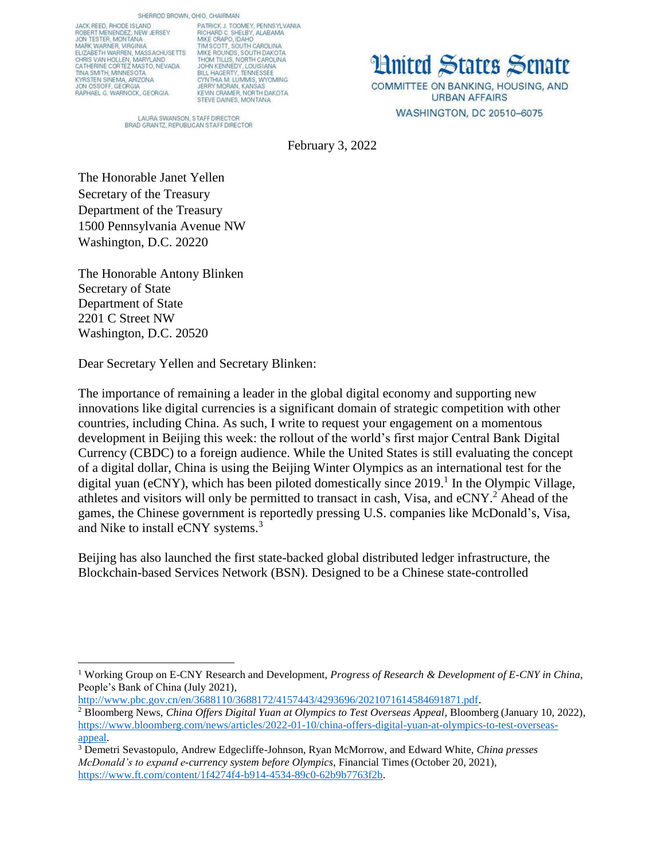SHERROD BROWN, OHIO, CHAIRMAN

JACK REED, RHODE ISLAND<br>ROBERT MENENDEZ, NEW JERSEY<br>JON TESTER, MONTANA MARK WARNER, VIRGINIA<br>ELIZABETH WARREN, MASSACHUSETTS CHRIS VAN HOLLEN, MARYLAND<br>CATHERINE CORTEZ MASTO, NEVADA **TINA SMITH, MINNESOTA** KYRSTEN SINEMA, ARIZONA RAPHAEL G. WARNOCK, GEORGIA

PATRICK J. TOOMEY, PENNSYLVANIA<br>RICHARD C. SHELBY, ALABAMA MIKE CRAPO, IDAHO<br>TIM SCOTT, SOUTH CAROLINA<br>MIKE ROUNDS, SOUTH DAKOTA THOM TILLIS, NORTH CAROLINA<br>JOHN KENNEDY, LOUISIANA<br>BILL HAGERTY, TENNESSEE BULL PANDENT T, TENNIS, WYOMING<br>JERRY MORAN, KANSAS<br>KEVIN CRAMER, NORTH DAKOTA<br>STEVE DAINES, MONTANA

**Hnited States Senate** COMMITTEE ON BANKING, HOUSING, AND **URBAN AFFAIRS** WASHINGTON, DC 20510-6075

LAURA SWANSON, STAFF DIRECTOR BRAD GRANTZ, REPUBLICAN STAFF DIRECTOR

February 3, 2022

The Honorable Janet Yellen Secretary of the Treasury Department of the Treasury 1500 Pennsylvania Avenue NW Washington, D.C. 20220

The Honorable Antony Blinken Secretary of State Department of State 2201 C Street NW Washington, D.C. 20520

Dear Secretary Yellen and Secretary Blinken:

The importance of remaining a leader in the global digital economy and supporting new innovations like digital currencies is a significant domain of strategic competition with other countries, including China. As such, I write to request your engagement on a momentous development in Beijing this week: the rollout of the world's first major Central Bank Digital Currency (CBDC) to a foreign audience. While the United States is still evaluating the concept of a digital dollar, China is using the Beijing Winter Olympics as an international test for the digital yuan (eCNY), which has been piloted domestically since 2019. 1 In the Olympic Village, athletes and visitors will only be permitted to transact in cash, Visa, and eCNY.<sup>2</sup> Ahead of the games, the Chinese government is reportedly pressing U.S. companies like McDonald's, Visa, and Nike to install eCNY systems.<sup>3</sup>

Beijing has also launched the first state-backed global distributed ledger infrastructure, the Blockchain-based Services Network (BSN). Designed to be a Chinese state-controlled

 $\overline{\phantom{a}}$ <sup>1</sup> Working Group on E-CNY Research and Development, *Progress of Research & Development of E-CNY in China*, People's Bank of China (July 2021),

[http://www.pbc.gov.cn/en/3688110/3688172/4157443/4293696/2021071614584691871.pdf.](http://www.pbc.gov.cn/en/3688110/3688172/4157443/4293696/2021071614584691871.pdf) <sup>2</sup> Bloomberg News, *China Offers Digital Yuan at Olympics to Test Overseas Appeal*, Bloomberg (January 10, 2022), [https://www.bloomberg.com/news/articles/2022-01-10/china-offers-digital-yuan-at-olympics-to-test-overseas](https://www.bloomberg.com/news/articles/2022-01-10/china-offers-digital-yuan-at-olympics-to-test-overseas-appeal)[appeal.](https://www.bloomberg.com/news/articles/2022-01-10/china-offers-digital-yuan-at-olympics-to-test-overseas-appeal)

<sup>3</sup> Demetri Sevastopulo, Andrew Edgecliffe-Johnson, Ryan McMorrow, and Edward White, *China presses McDonald's to expand e-currency system before Olympics*, Financial Times (October 20, 2021), [https://www.ft.com/content/1f4274f4-b914-4534-89c0-62b9b7763f2b.](https://www.ft.com/content/1f4274f4-b914-4534-89c0-62b9b7763f2b)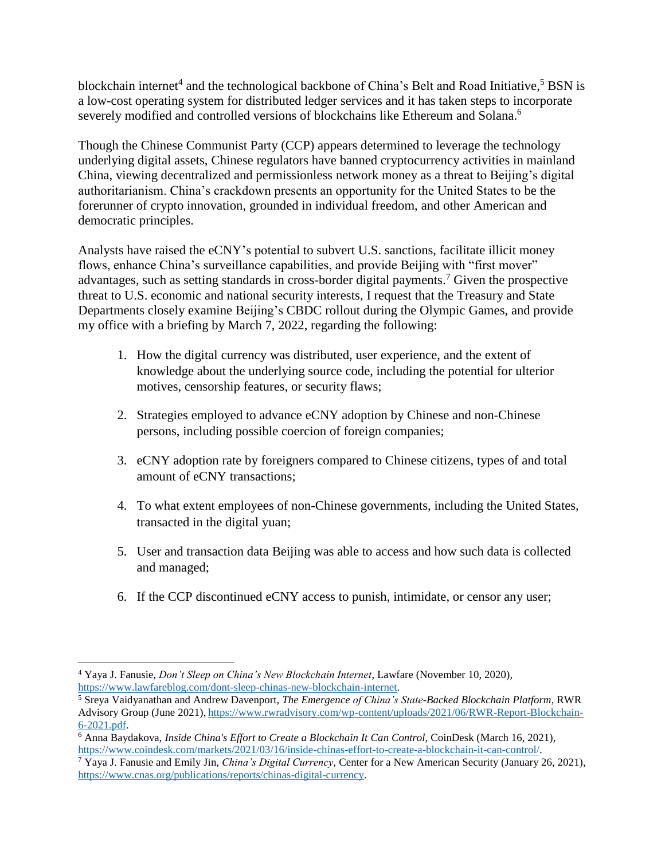blockchain internet<sup>4</sup> and the technological backbone of China's Belt and Road Initiative,<sup>5</sup> BSN is a low-cost operating system for distributed ledger services and it has taken steps to incorporate severely modified and controlled versions of blockchains like Ethereum and Solana.<sup>6</sup>

Though the Chinese Communist Party (CCP) appears determined to leverage the technology underlying digital assets, Chinese regulators have banned cryptocurrency activities in mainland China, viewing decentralized and permissionless network money as a threat to Beijing's digital authoritarianism. China's crackdown presents an opportunity for the United States to be the forerunner of crypto innovation, grounded in individual freedom, and other American and democratic principles.

Analysts have raised the eCNY's potential to subvert U.S. sanctions, facilitate illicit money flows, enhance China's surveillance capabilities, and provide Beijing with "first mover" advantages, such as setting standards in cross-border digital payments.<sup>7</sup> Given the prospective threat to U.S. economic and national security interests, I request that the Treasury and State Departments closely examine Beijing's CBDC rollout during the Olympic Games, and provide my office with a briefing by March 7, 2022, regarding the following:

- 1. How the digital currency was distributed, user experience, and the extent of knowledge about the underlying source code, including the potential for ulterior motives, censorship features, or security flaws;
- 2. Strategies employed to advance eCNY adoption by Chinese and non-Chinese persons, including possible coercion of foreign companies;
- 3. eCNY adoption rate by foreigners compared to Chinese citizens, types of and total amount of eCNY transactions;
- 4. To what extent employees of non-Chinese governments, including the United States, transacted in the digital yuan;
- 5. User and transaction data Beijing was able to access and how such data is collected and managed;
- 6. If the CCP discontinued eCNY access to punish, intimidate, or censor any user;

 $\overline{\phantom{a}}$ <sup>4</sup> Yaya J. Fanusie, *Don't Sleep on China's New Blockchain Internet*, Lawfare (November 10, 2020), [https://www.lawfareblog.com/dont-sleep-chinas-new-blockchain-internet.](https://www.lawfareblog.com/dont-sleep-chinas-new-blockchain-internet)

<sup>5</sup> Sreya Vaidyanathan and Andrew Davenport, *The Emergence of China's State-Backed Blockchain Platform*, RWR Advisory Group (June 2021), [https://www.rwradvisory.com/wp-content/uploads/2021/06/RWR-Report-Blockchain-](https://www.rwradvisory.com/wp-content/uploads/2021/06/RWR-Report-Blockchain-6-2021.pdf)[6-2021.pdf.](https://www.rwradvisory.com/wp-content/uploads/2021/06/RWR-Report-Blockchain-6-2021.pdf)

<sup>6</sup> Anna Baydakova, *Inside China's Effort to Create a Blockchain It Can Control*, CoinDesk (March 16, 2021), [https://www.coindesk.com/markets/2021/03/16/inside-chinas-effort-to-create-a-blockchain-it-can-control/.](https://www.coindesk.com/markets/2021/03/16/inside-chinas-effort-to-create-a-blockchain-it-can-control/)

<sup>7</sup> Yaya J. Fanusie and Emily Jin, *China's Digital Currency*, Center for a New American Security (January 26, 2021), [https://www.cnas.org/publications/reports/chinas-digital-currency.](https://www.cnas.org/publications/reports/chinas-digital-currency)